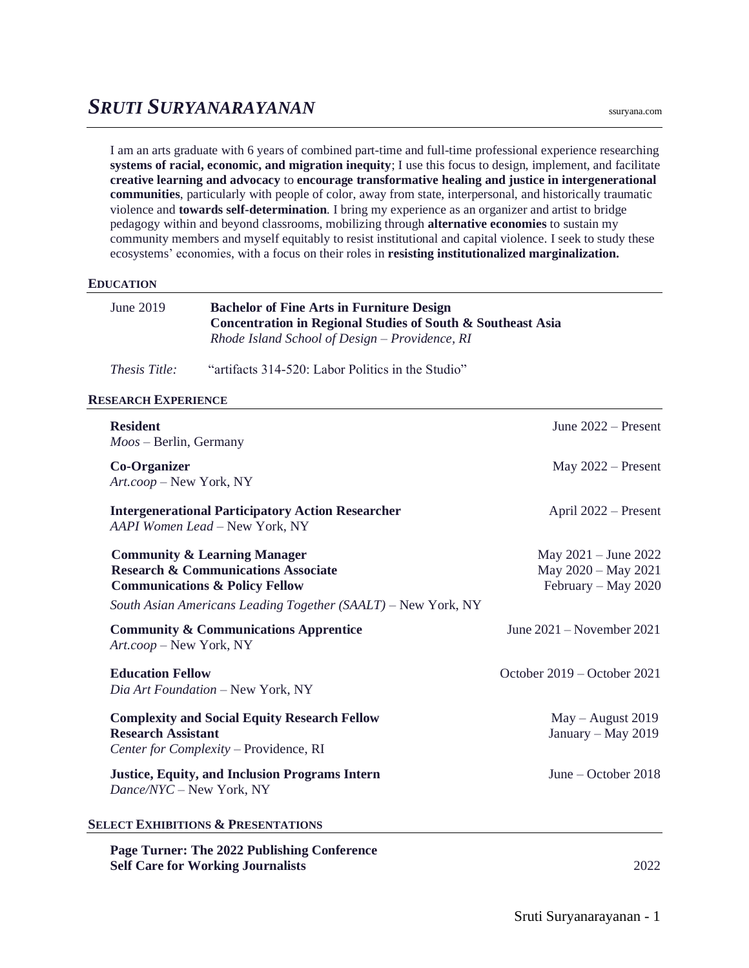I am an arts graduate with 6 years of combined part-time and full-time professional experience researching **systems of racial, economic, and migration inequity**; I use this focus to design, implement, and facilitate **creative learning and advocacy** to **encourage transformative healing and justice in intergenerational communities**, particularly with people of color, away from state, interpersonal, and historically traumatic violence and **towards self-determination**. I bring my experience as an organizer and artist to bridge pedagogy within and beyond classrooms, mobilizing through **alternative economies** to sustain my community members and myself equitably to resist institutional and capital violence. I seek to study these ecosystems' economies, with a focus on their roles in **resisting institutionalized marginalization.**

## **EDUCATION**

| June $2019$ | <b>Bachelor of Fine Arts in Furniture Design</b>            |
|-------------|-------------------------------------------------------------|
|             | Concentration in Regional Studies of South & Southeast Asia |
|             | Rhode Island School of Design – Providence, RI              |

*Thesis Title:* "artifacts 314-520: Labor Politics in the Studio"

## **RESEARCH EXPERIENCE**

| <b>Resident</b><br>$M$ oos – Berlin, Germany                                                                                                                                                            | June $2022 -$ Present                                                  |
|---------------------------------------------------------------------------------------------------------------------------------------------------------------------------------------------------------|------------------------------------------------------------------------|
| <b>Co-Organizer</b><br>Art.coop - New York, NY                                                                                                                                                          | May $2022$ – Present                                                   |
| <b>Intergenerational Participatory Action Researcher</b><br>AAPI Women Lead - New York, NY                                                                                                              | April 2022 – Present                                                   |
| <b>Community &amp; Learning Manager</b><br><b>Research &amp; Communications Associate</b><br><b>Communications &amp; Policy Fellow</b><br>South Asian Americans Leading Together (SAALT) - New York, NY | May $2021 -$ June $2022$<br>May 2020 - May 2021<br>February – May 2020 |
| <b>Community &amp; Communications Apprentice</b><br>Art.coop - New York, NY                                                                                                                             | June $2021 -$ November $2021$                                          |
| <b>Education Fellow</b><br>Dia Art Foundation - New York, NY                                                                                                                                            | October $2019 -$ October 2021                                          |
| <b>Complexity and Social Equity Research Fellow</b><br><b>Research Assistant</b><br>Center for Complexity - Providence, RI                                                                              | $May - August 2019$<br>January - May 2019                              |
| <b>Justice, Equity, and Inclusion Programs Intern</b><br>Dance/NYC - New York, NY                                                                                                                       | June – October $2018$                                                  |
| <b>SELECT EXHIBITIONS &amp; PRESENTATIONS</b>                                                                                                                                                           |                                                                        |
| Page Turner: The 2022 Publishing Conference                                                                                                                                                             |                                                                        |

**Self Care for Working Journalists** 2022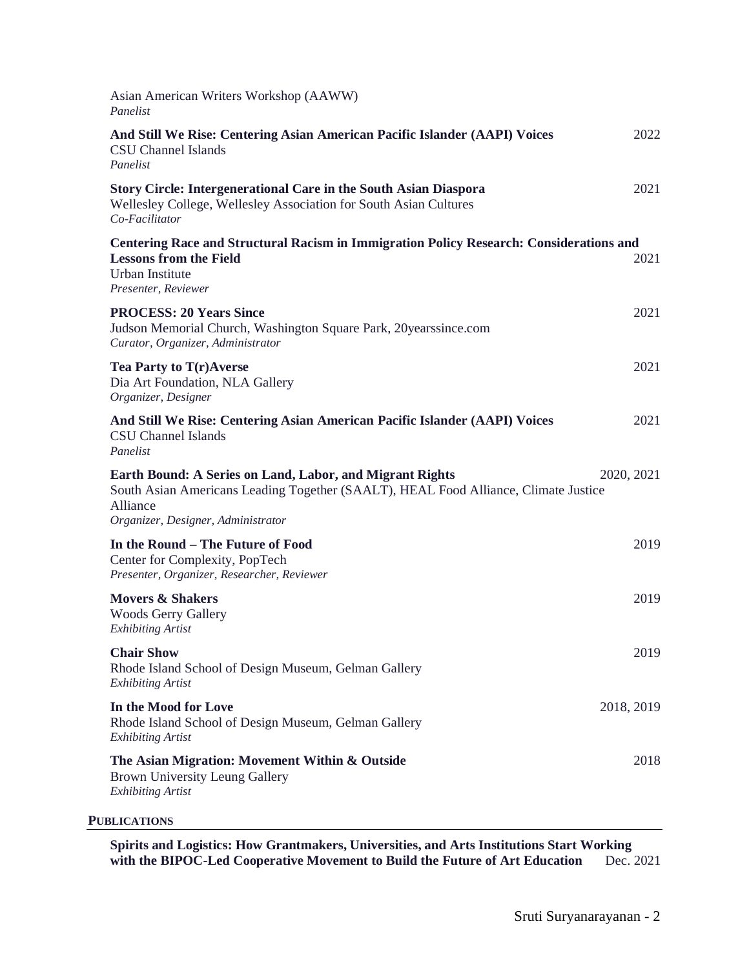| Asian American Writers Workshop (AAWW)<br>Panelist                                                                                                                                                |            |
|---------------------------------------------------------------------------------------------------------------------------------------------------------------------------------------------------|------------|
| And Still We Rise: Centering Asian American Pacific Islander (AAPI) Voices<br><b>CSU Channel Islands</b><br>Panelist                                                                              | 2022       |
| <b>Story Circle: Intergenerational Care in the South Asian Diaspora</b><br>Wellesley College, Wellesley Association for South Asian Cultures<br>Co-Facilitator                                    | 2021       |
| Centering Race and Structural Racism in Immigration Policy Research: Considerations and<br><b>Lessons from the Field</b><br><b>Urban Institute</b><br>Presenter, Reviewer                         | 2021       |
| <b>PROCESS: 20 Years Since</b><br>Judson Memorial Church, Washington Square Park, 20yearssince.com<br>Curator, Organizer, Administrator                                                           | 2021       |
| Tea Party to T(r)Averse<br>Dia Art Foundation, NLA Gallery<br>Organizer, Designer                                                                                                                 | 2021       |
| And Still We Rise: Centering Asian American Pacific Islander (AAPI) Voices<br><b>CSU Channel Islands</b><br>Panelist                                                                              | 2021       |
| Earth Bound: A Series on Land, Labor, and Migrant Rights<br>South Asian Americans Leading Together (SAALT), HEAL Food Alliance, Climate Justice<br>Alliance<br>Organizer, Designer, Administrator | 2020, 2021 |
| In the Round - The Future of Food<br>Center for Complexity, PopTech<br>Presenter, Organizer, Researcher, Reviewer                                                                                 | 2019       |
| <b>Movers &amp; Shakers</b><br><b>Woods Gerry Gallery</b><br><b>Exhibiting Artist</b>                                                                                                             | 2019       |
| <b>Chair Show</b><br>Rhode Island School of Design Museum, Gelman Gallery<br><b>Exhibiting Artist</b>                                                                                             | 2019       |
| In the Mood for Love<br>Rhode Island School of Design Museum, Gelman Gallery<br><b>Exhibiting Artist</b>                                                                                          | 2018, 2019 |
| The Asian Migration: Movement Within & Outside<br>Brown University Leung Gallery<br><b>Exhibiting Artist</b>                                                                                      | 2018       |
| <b>PUBLICATIONS</b>                                                                                                                                                                               |            |

**Spirits and Logistics: How Grantmakers, Universities, and Arts Institutions Start Working with the BIPOC-Led Cooperative Movement to Build the Future of Art Education** Dec. 2021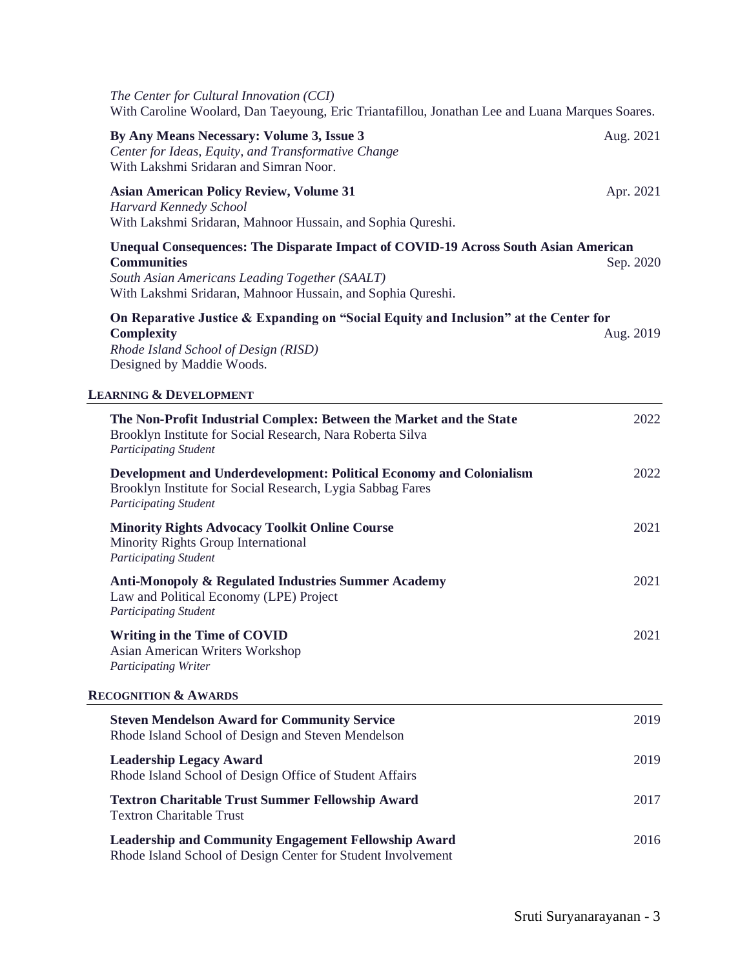| The Center for Cultural Innovation (CCI)<br>With Caroline Woolard, Dan Taeyoung, Eric Triantafillou, Jonathan Lee and Luana Marques Soares.                                                                               |           |  |
|---------------------------------------------------------------------------------------------------------------------------------------------------------------------------------------------------------------------------|-----------|--|
| By Any Means Necessary: Volume 3, Issue 3<br>Center for Ideas, Equity, and Transformative Change<br>With Lakshmi Sridaran and Simran Noor.                                                                                | Aug. 2021 |  |
| <b>Asian American Policy Review, Volume 31</b><br>Harvard Kennedy School<br>With Lakshmi Sridaran, Mahnoor Hussain, and Sophia Qureshi.                                                                                   | Apr. 2021 |  |
| Unequal Consequences: The Disparate Impact of COVID-19 Across South Asian American<br><b>Communities</b><br>South Asian Americans Leading Together (SAALT)<br>With Lakshmi Sridaran, Mahnoor Hussain, and Sophia Qureshi. | Sep. 2020 |  |
| On Reparative Justice & Expanding on "Social Equity and Inclusion" at the Center for<br><b>Complexity</b><br>Rhode Island School of Design (RISD)<br>Designed by Maddie Woods.                                            | Aug. 2019 |  |
| <b>LEARNING &amp; DEVELOPMENT</b>                                                                                                                                                                                         |           |  |
| The Non-Profit Industrial Complex: Between the Market and the State<br>Brooklyn Institute for Social Research, Nara Roberta Silva<br><b>Participating Student</b>                                                         | 2022      |  |
| Development and Underdevelopment: Political Economy and Colonialism<br>Brooklyn Institute for Social Research, Lygia Sabbag Fares<br><b>Participating Student</b>                                                         | 2022      |  |
| <b>Minority Rights Advocacy Toolkit Online Course</b><br>Minority Rights Group International<br><b>Participating Student</b>                                                                                              | 2021      |  |
| <b>Anti-Monopoly &amp; Regulated Industries Summer Academy</b><br>Law and Political Economy (LPE) Project<br><b>Participating Student</b>                                                                                 | 2021      |  |
| Writing in the Time of COVID<br><b>Asian American Writers Workshop</b><br>Participating Writer                                                                                                                            | 2021      |  |
| <b>RECOGNITION &amp; AWARDS</b>                                                                                                                                                                                           |           |  |
| <b>Steven Mendelson Award for Community Service</b><br>Rhode Island School of Design and Steven Mendelson                                                                                                                 | 2019      |  |
| <b>Leadership Legacy Award</b><br>Rhode Island School of Design Office of Student Affairs                                                                                                                                 | 2019      |  |
| <b>Textron Charitable Trust Summer Fellowship Award</b><br><b>Textron Charitable Trust</b>                                                                                                                                | 2017      |  |
| <b>Leadership and Community Engagement Fellowship Award</b><br>Rhode Island School of Design Center for Student Involvement                                                                                               | 2016      |  |